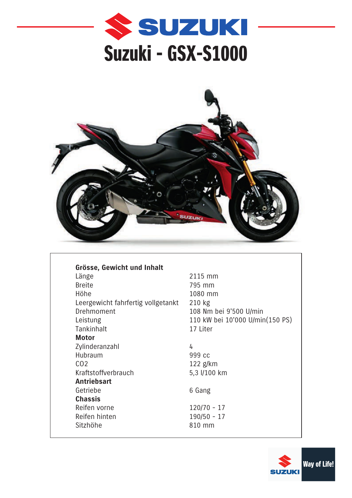



| Grösse, Gewicht und Inhalt         |                |  |  |  |
|------------------------------------|----------------|--|--|--|
| Länge                              | 2              |  |  |  |
| <b>Breite</b>                      | 7              |  |  |  |
| Höhe                               | 1              |  |  |  |
| Leergewicht fahrfertig vollgetankt | $\overline{2}$ |  |  |  |
| Drehmoment                         | 1              |  |  |  |
| Leistung                           | 1              |  |  |  |
| Tankinhalt                         | 1              |  |  |  |
| Motor                              |                |  |  |  |
| Zylinderanzahl                     | 4              |  |  |  |
| Hubraum                            | 9              |  |  |  |
| CO <sub>2</sub>                    | 1              |  |  |  |
| Kraftstoffverbrauch                |                |  |  |  |
| <b>Antriebsart</b>                 |                |  |  |  |
| Getriebe                           | 6              |  |  |  |
| <b>Chassis</b>                     |                |  |  |  |
| Reifen vorne                       | 1              |  |  |  |
| Reifen hinten                      | 1              |  |  |  |
| Sitzhöhe                           | 8              |  |  |  |

2115 mm 795 mm 1080 mm  $210$  kg 108 Nm bei 9'500 U/min 110 kW bei 10'000 U/min(150 PS) 17 Liter

999 cc 122 g/km 5,3 l/100 km

6 Gang

 $120/70 - 17$  $190/50 - 17$ 810 mm

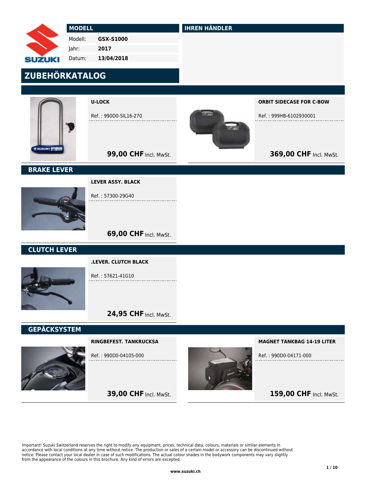|                     | <b>MODELL</b> |                          | <b>IHREN HÄNDLER</b> |                                 |  |
|---------------------|---------------|--------------------------|----------------------|---------------------------------|--|
|                     | Modell:       | GSX-S1000                |                      |                                 |  |
|                     | Jahr:         | 2017                     |                      |                                 |  |
| <b>SUZUKI</b>       | Datum:        | 13/04/2018               |                      |                                 |  |
| ZUBEHÖRKATALOG      |               |                          |                      |                                 |  |
|                     |               |                          |                      |                                 |  |
|                     |               | <b>U-LOCK</b>            |                      | <b>ORBIT SIDECASE FOR C-BOW</b> |  |
|                     |               | Ref.: 990D0-SIL16-270    |                      | Ref.: 999HB-6102930001          |  |
|                     |               |                          | $72 -$               |                                 |  |
| <b>SUZUICI PS</b>   |               | 99,00 CHF Incl. MwSt.    |                      | 369,00 CHF Incl. MwSt.          |  |
| <b>BRAKE LEVER</b>  |               |                          |                      |                                 |  |
|                     |               | <b>LEVER ASSY. BLACK</b> |                      |                                 |  |
|                     |               | Ref.: 57300-29G40        |                      |                                 |  |
|                     |               |                          |                      |                                 |  |
|                     |               | 69,00 CHF Incl. MwSt.    |                      |                                 |  |
| <b>CLUTCH LEVER</b> |               |                          |                      |                                 |  |
|                     |               | .LEVER. CLUTCH BLACK     |                      |                                 |  |
|                     |               | Ref.: 57621-41G10        |                      |                                 |  |

# 24,95 CHF Incl. MwSt.

**39,00 CHF Incl. MwSt.** 

# GEPÄCKSYSTEM



RINGBEFEST. TANKRUCKSA

Ref. : 990D0-04105-000

MAGNET TANKBAG 14-19 LITER

Ref. : 990D0-04171-000

# 159,00 CHF Incl. MwSt.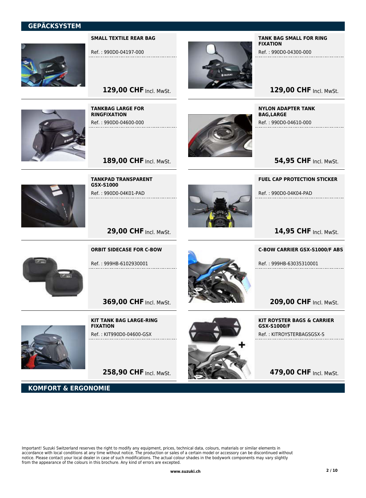## GEPÄCKSYSTEM



SMALL TEXTILE REAR BAG

Ref. : 990D0-04197-000



TANK BAG SMALL FOR RING FIXATION

Ref. : 990D0-04300-000

# 129,00 CHF Incl. MwSt.

TANKBAG LARGE FOR RINGFIXATION Ref. : 990D0-04600-000

129,00 CHF Incl. MwSt.

189,00 CHF Incl. MwSt.

TANKPAD TRANSPARENT

Ref. : 990D0-04K01-PAD

GSX-S1000



NYLON ADAPTER TANK BAG,LARGE

Ref. : 990D0-04K04-PAD

Ref. : 990D0-04610-000

**54,95 CHF Incl. MwSt.** 

FUEL CAP PROTECTION STICKER

14,95 CHF Incl. MwSt.



ORBIT SIDECASE FOR C-BOW

29,00 CHF Incl. MwSt.

Ref. : 999HB-6102930001

**369,00 CHF Incl. MwSt.** 



KOMFORT & ERGONOMIE

KIT TANK BAG LARGE-RING FIXATION Ref. : KIT990D0-04600-GSX

258,90 CHF Incl. MwSt.



Ref. : 999HB-63035310001

C-BOW CARRIER GSX-S1000/F ABS

209,00 CHF Incl. MwSt.

KIT ROYSTER BAGS & CARRIER GSX-S1000/F Ref. : KITROYSTERBAGSGSX-S

479,00 CHF Incl. MwSt.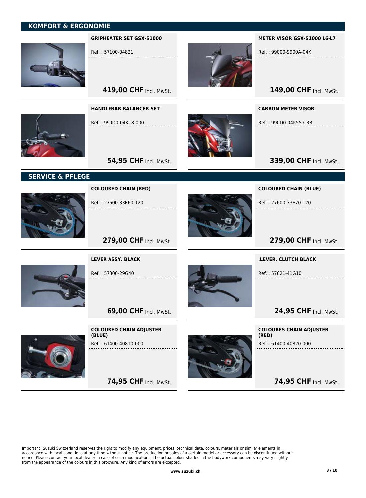# KOMFORT & ERGONOMIE



GRIPHEATER SET GSX-S1000

Ref. : 57100-04821

HANDLEBAR BALANCER SET

Ref. : 990D0-04K18-000

**419,00 CHF Incl. MwSt.** 

**54,95 CHF Incl. MwSt.** 



METER VISOR GSX-S1000 L6-L7

Ref. : 99000-9900A-04K

149,00 CHF Incl. MwSt.

CARBON METER VISOR

Ref. : 990D0-04K55-CRB

**339,00 CHF Incl. MwSt.** 

# SERVICE & PFLEGE



COLOURED CHAIN (RED)

Ref. : 27600-33E60-120



COLOURED CHAIN (BLUE)

Ref. : 27600-33E70-120

279,00 CHF Incl. MwSt.



279,00 CHF Incl. MwSt.

LEVER ASSY. BLACK

Ref. : 57300-29G40



.LEVER. CLUTCH BLACK Ref. : 57621-41G10

24,95 CHF Incl. MwSt.

COLOURED CHAIN ADJUSTER (BLUE) Ref. : 61400-40810-000

**69,00 CHF Incl. MwSt.** 

74,95 CHF Incl. MwSt.



COLOURES CHAIN ADJUSTER (RED) Ref. : 61400-40820-000

74,95 CHF Incl. MwSt.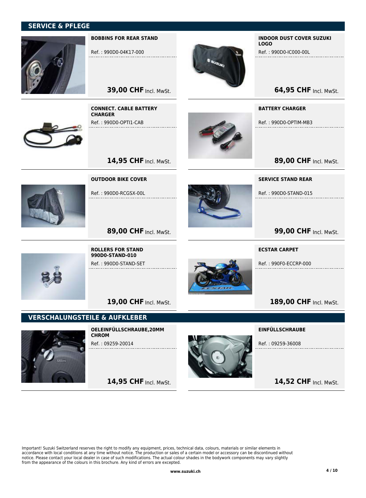## SERVICE & PFLEGE



#### BOBBINS FOR REAR STAND

Ref. : 990D0-04K17-000

CONNECT. CABLE BATTERY

Ref. : 990D0-OPTI1-CAB

OUTDOOR BIKE COVER

Ref. : 990D0-RCGSX-00L

**CHARGER** 

**39,00 CHF Incl. MwSt.** 

14,95 CHF Incl. MwSt.



#### INDOOR DUST COVER SUZUKI LOGO

Ref. : 990D0-IC000-00L

**64,95 CHF Incl. MwSt.** 

BATTERY CHARGER

Ref. : 990D0-OPTIM-MB3

89,00 CHF Incl. MwSt.

SERVICE STAND REAR

Ref. : 990D0-STAND-015



189,00 CHF Incl. MwSt.

#### ECSTAR CARPET

Ref. : 990F0-ECCRP-000



ROLLERS FOR STAND 990D0-STAND-010 Ref. : 990D0-STAND-SET

89,00 CHF Incl. MwSt.

19,00 CHF Incl. MwSt.

### VERSCHALUNGSTEILE & AUFKLEBER



OELEINFÜLLSCHRAUBE,20MM **CHROM** Ref. : 09259-20014

14,95 CHF Incl. MwSt.



EINFÜLLSCHRAUBE

Ref. : 09259-36008

14,52 CHF Incl. MwSt.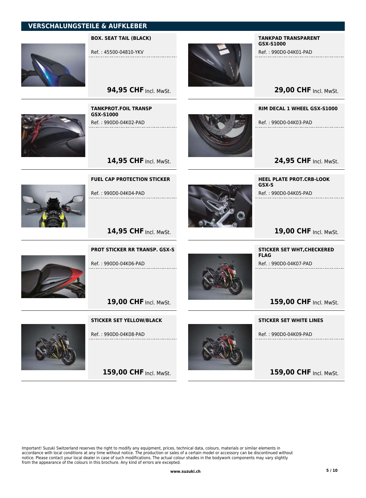

BOX. SEAT TAIL (BLACK)

Ref. : 45500-04810-YKV

TANKPROT.FOIL TRANSP

Ref. : 990D0-04K02-PAD

GSX-S1000



### TANKPAD TRANSPARENT GSX-S1000

Ref. : 990D0-04K01-PAD

**29,00 CHF Incl. MwSt.** 

RIM DECAL 1 WHEEL GSX-S1000

Ref. : 990D0-04K03-PAD

24,95 CHF Incl. MwSt.



14,95 CHF Incl. MwSt.

**94,95 CHF Incl. MwSt.** 

FUEL CAP PROTECTION STICKER

Ref. : 990D0-04K04-PAD



HEEL PLATE PROT.CRB-LOOK GSX-S Ref. : 990D0-04K05-PAD

# 19,00 CHF Incl. MwSt.

PROT STICKER RR TRANSP. GSX-S

14,95 CHF Incl. MwSt.

Ref. : 990D0-04K06-PAD

19,00 CHF Incl. MwSt.

STICKER SET YELLOW/BLACK



Ref. : 990D0-04K08-PAD

159,00 CHF Incl. MwSt.



STICKER SET WHT,CHECKERED FLAG

Ref. : 990D0-04K07-PAD

159,00 CHF Incl. MwSt.

STICKER SET WHITE LINES

Ref. : 990D0-04K09-PAD

159,00 CHF Incl. MwSt.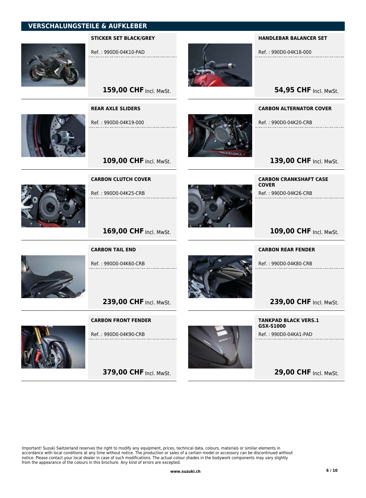

STICKER SET BLACK/GREY

Ref. : 990D0-04K10-PAD

REAR AXLE SLIDERS

Ref. : 990D0-04K19-000

159,00 CHF Incl. MwSt.



#### HANDLEBAR BALANCER SET

Ref. : 990D0-04K18-000

**54,95 CHF Incl. MwSt.** 

#### CARBON ALTERNATOR COVER

Ref. : 990D0-04K20-CRB

139,00 CHF Incl. MwSt.



CARBON CLUTCH COVER

109,00 CHF Incl. MwSt.

Ref. : 990D0-04K25-CRB



CARBON CRANKSHAFT CASE COVER Ref. : 990D0-04K26-CRB

# 109,00 CHF Incl. MwSt.

### CARBON REAR FENDER

Ref. : 990D0-04K80-CRB

239,00 CHF Incl. MwSt.

TANKPAD BLACK VERS.1 GSX-S1000 Ref. : 990D0-04KA1-PAD

**29,00 CHF Incl. MwSt.** 



CARBON TAIL END

169,00 CHF Incl. MwSt.

Ref. : 990D0-04K60-CRB

239,00 CHF Incl. MwSt.

#### CARBON FRONT FENDER



Ref. : 990D0-04K90-CRB

**379,00 CHF Incl. MwSt.**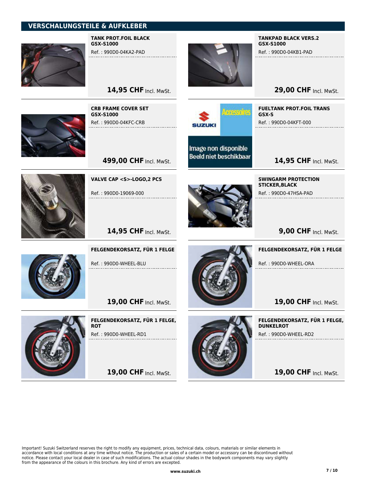

TANK PROT.FOIL BLACK GSX-S1000

Ref. : 990D0-04KA2-PAD



TANKPAD BLACK VERS.2 GSX-S1000

Ref. : 990D0-04KB1-PAD

**29,00 CHF Incl. MwSt.** 

CRB FRAME COVER SET GSX-S1000 Ref. : 990D0-04KFC-CRB

14,95 CHF Incl. MwSt.



Image non disponible **Beeld niet beschikbaar** 

Ref. : 990D0-04KFT-000

FUELTANK PROT.FOIL TRANS

SWINGARM PROTECTION

Ref. : 990D0-47HSA-PAD

STICKER,BLACK

GSX-S

14,95 CHF Incl. MwSt.



VALVE CAP <S>-LOGO,2 PCS

499,00 CHF Incl. MwSt.

Ref. : 990D0-19069-000





FELGENDEKORSATZ, FÜR 1 FELGE

Ref. : 990D0-WHEEL-BLU

19,00 CHF Incl. MwSt.



FELGENDEKORSATZ, FÜR 1 FELGE, **ROT** Ref. : 990D0-WHEEL-RD1

19,00 CHF Incl. MwSt.



**9,00 CHF Incl. MwSt.** 

FELGENDEKORSATZ, FÜR 1 FELGE

Ref. : 990D0-WHEEL-ORA

19,00 CHF Incl. MwSt.

FELGENDEKORSATZ, FÜR 1 FELGE, DUNKELROT Ref. : 990D0-WHEEL-RD2

19,00 CHF Incl. MwSt.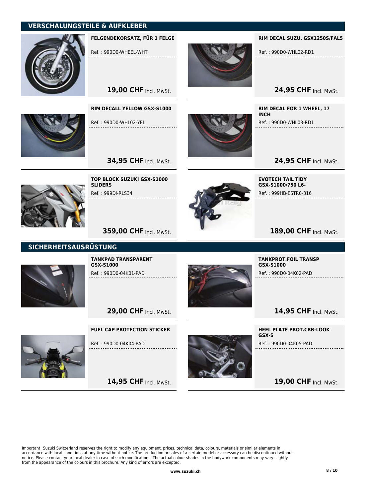

FELGENDEKORSATZ, FÜR 1 FELGE

19,00 CHF Incl. MwSt.

RIM DECALL YELLOW GSX-S1000

Ref. : 990D0-WHL02-YEL

Ref. : 990D0-WHEEL-WHT

RIM DECAL SUZU. GSX1250S/FAL5

Ref. : 990D0-WHL02-RD1

24,95 CHF Incl. MwSt.

RIM DECAL FOR 1 WHEEL, 17 **INCH** Ref. : 990D0-WHL03-RD1

24,95 CHF Incl. MwSt.



TOP BLOCK SUZUKI GSX-S1000 **SLIDERS** Ref. : 999DI-RLS34

**34,95 CHF Incl. MwSt.** 



EVOTECH TAIL TIDY GSX-S1000/750 L6- Ref. : 999HB-ESTR0-316

# 189,00 CHF Incl. MwSt.

**359,00 CHF Incl. MwSt.** 

# SICHERHEITSAUSRÜSTUNG



TANKPAD TRANSPARENT GSX-S1000 Ref. : 990D0-04K01-PAD



TANKPROT.FOIL TRANSP GSX-S1000 Ref. : 990D0-04K02-PAD

14,95 CHF Incl. MwSt.

29,00 CHF Incl. MwSt.

### FUEL CAP PROTECTION STICKER

Ref. : 990D0-04K04-PAD

14,95 CHF Incl. MwSt.



HEEL PLATE PROT.CRB-LOOK GSX-S

Ref. : 990D0-04K05-PAD

19,00 CHF Incl. MwSt.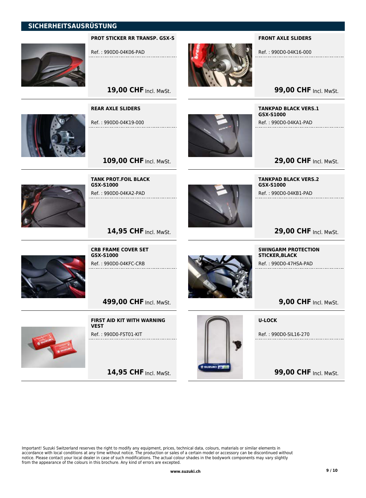### SICHERHEITSAUSRÜSTUNG



#### PROT STICKER RR TRANSP. GSX-S

19,00 CHF Incl. MwSt.

Ref. : 990D0-04K06-PAD

REAR AXLE SLIDERS

Ref. : 990D0-04K19-000



#### FRONT AXLE SLIDERS

Ref. : 990D0-04K16-000

**99,00 CHF Incl. MwSt.** 

TANKPAD BLACK VERS.1 GSX-S1000

Ref. : 990D0-04KA1-PAD

**29,00 CHF Incl. MwSt.** 



TANK PROT.FOIL BLACK GSX-S1000 Ref. : 990D0-04KA2-PAD

109,00 CHF Incl. MwSt.



TANKPAD BLACK VERS.2 GSX-S1000 Ref. : 990D0-04KB1-PAD

# 29,00 CHF Incl. MwSt.



CRB FRAME COVER SET GSX-S1000 Ref. : 990D0-04KFC-CRB

14,95 CHF Incl. MwSt.

**499,00 CHF Incl. MwSt.** 



FIRST AID KIT WITH WARNING VEST Ref. : 990D0-FST01-KIT

14,95 CHF Incl. MwSt.



SWINGARM PROTECTION STICKER,BLACK

Ref. : 990D0-47HSA-PAD

**9,00 CHF Incl. MwSt.** 

U-LOCK

Ref. : 990D0-SIL16-270

**99,00 CHF Incl. MwSt.**